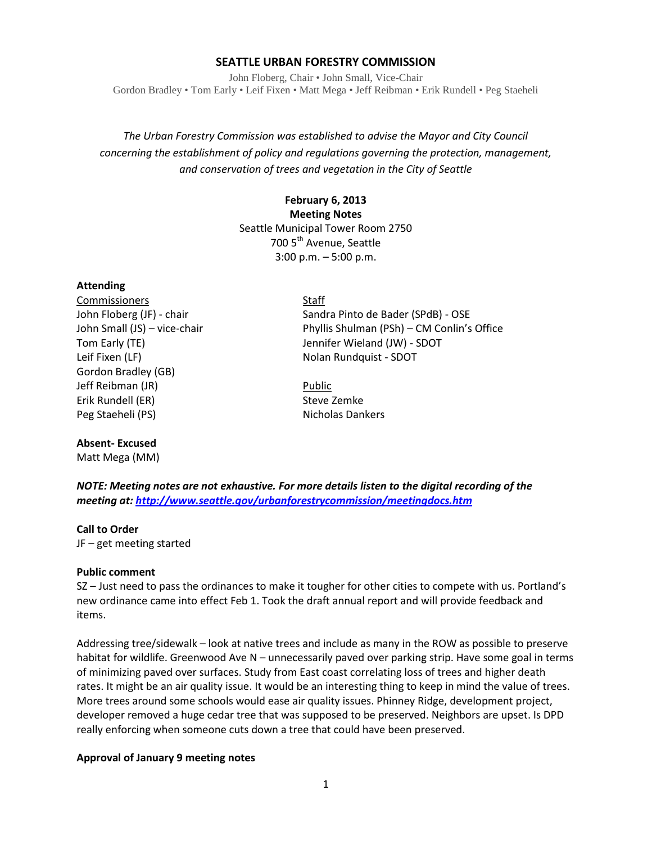### **SEATTLE URBAN FORESTRY COMMISSION**

John Floberg, Chair • John Small, Vice-Chair Gordon Bradley • Tom Early • Leif Fixen • Matt Mega • Jeff Reibman • Erik Rundell • Peg Staeheli

*The Urban Forestry Commission was established to advise the Mayor and City Council concerning the establishment of policy and regulations governing the protection, management, and conservation of trees and vegetation in the City of Seattle*

> **February 6, 2013 Meeting Notes** Seattle Municipal Tower Room 2750 700 5<sup>th</sup> Avenue, Seattle 3:00 p.m. – 5:00 p.m.

### **Attending**

Commissioners Staff Leif Fixen (LF) Nolan Rundquist - SDOT Gordon Bradley (GB) Jeff Reibman (JR) **Public** Erik Rundell (ER) Steve Zemke Peg Staeheli (PS) Nicholas Dankers

## **Absent- Excused**

Matt Mega (MM)

John Floberg (JF) - chair Sandra Pinto de Bader (SPdB) - OSE John Small (JS) – vice-chair Phyllis Shulman (PSh) – CM Conlin's Office Tom Early (TE) Jennifer Wieland (JW) - SDOT

*NOTE: Meeting notes are not exhaustive. For more details listen to the digital recording of the meeting at[: http://www.seattle.gov/urbanforestrycommission/meetingdocs.htm](http://www.seattle.gov/urbanforestrycommission/meetingdocs.htm)*

### **Call to Order**

JF – get meeting started

### **Public comment**

SZ – Just need to pass the ordinances to make it tougher for other cities to compete with us. Portland's new ordinance came into effect Feb 1. Took the draft annual report and will provide feedback and items.

Addressing tree/sidewalk – look at native trees and include as many in the ROW as possible to preserve habitat for wildlife. Greenwood Ave N – unnecessarily paved over parking strip. Have some goal in terms of minimizing paved over surfaces. Study from East coast correlating loss of trees and higher death rates. It might be an air quality issue. It would be an interesting thing to keep in mind the value of trees. More trees around some schools would ease air quality issues. Phinney Ridge, development project, developer removed a huge cedar tree that was supposed to be preserved. Neighbors are upset. Is DPD really enforcing when someone cuts down a tree that could have been preserved.

## **Approval of January 9 meeting notes**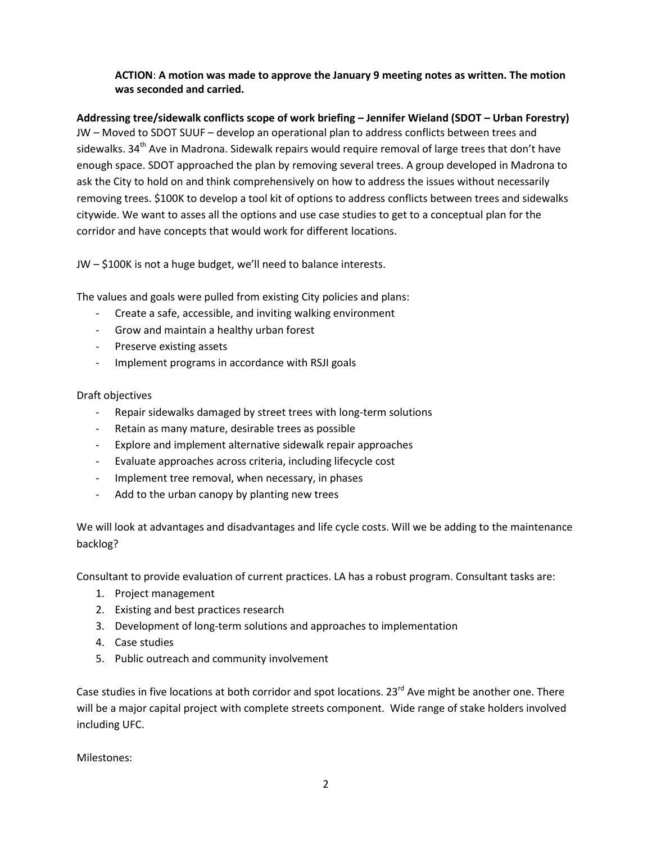# **ACTION**: **A motion was made to approve the January 9 meeting notes as written. The motion was seconded and carried.**

**Addressing tree/sidewalk conflicts scope of work briefing – Jennifer Wieland (SDOT – Urban Forestry)** JW – Moved to SDOT SUUF – develop an operational plan to address conflicts between trees and sidewalks. 34<sup>th</sup> Ave in Madrona. Sidewalk repairs would require removal of large trees that don't have enough space. SDOT approached the plan by removing several trees. A group developed in Madrona to ask the City to hold on and think comprehensively on how to address the issues without necessarily removing trees. \$100K to develop a tool kit of options to address conflicts between trees and sidewalks citywide. We want to asses all the options and use case studies to get to a conceptual plan for the corridor and have concepts that would work for different locations.

JW – \$100K is not a huge budget, we'll need to balance interests.

The values and goals were pulled from existing City policies and plans:

- Create a safe, accessible, and inviting walking environment
- Grow and maintain a healthy urban forest
- Preserve existing assets
- Implement programs in accordance with RSJI goals

Draft objectives

- Repair sidewalks damaged by street trees with long-term solutions
- Retain as many mature, desirable trees as possible
- Explore and implement alternative sidewalk repair approaches
- Evaluate approaches across criteria, including lifecycle cost
- Implement tree removal, when necessary, in phases
- Add to the urban canopy by planting new trees

We will look at advantages and disadvantages and life cycle costs. Will we be adding to the maintenance backlog?

Consultant to provide evaluation of current practices. LA has a robust program. Consultant tasks are:

- 1. Project management
- 2. Existing and best practices research
- 3. Development of long-term solutions and approaches to implementation
- 4. Case studies
- 5. Public outreach and community involvement

Case studies in five locations at both corridor and spot locations.  $23^{rd}$  Ave might be another one. There will be a major capital project with complete streets component. Wide range of stake holders involved including UFC.

Milestones: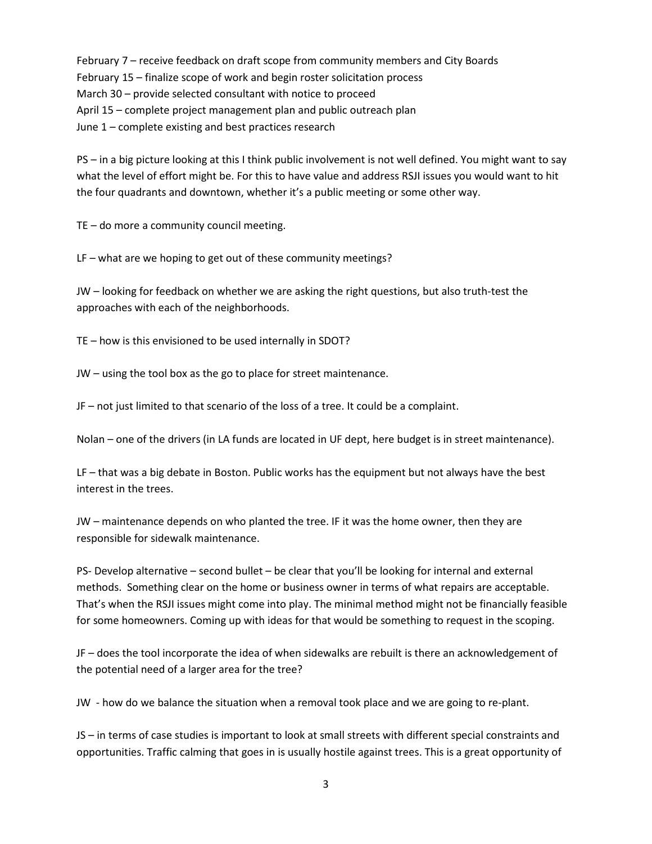February 7 – receive feedback on draft scope from community members and City Boards February 15 – finalize scope of work and begin roster solicitation process March 30 – provide selected consultant with notice to proceed April 15 – complete project management plan and public outreach plan June 1 – complete existing and best practices research

PS – in a big picture looking at this I think public involvement is not well defined. You might want to say what the level of effort might be. For this to have value and address RSJI issues you would want to hit the four quadrants and downtown, whether it's a public meeting or some other way.

TE – do more a community council meeting.

LF – what are we hoping to get out of these community meetings?

JW – looking for feedback on whether we are asking the right questions, but also truth-test the approaches with each of the neighborhoods.

TE – how is this envisioned to be used internally in SDOT?

JW – using the tool box as the go to place for street maintenance.

JF – not just limited to that scenario of the loss of a tree. It could be a complaint.

Nolan – one of the drivers (in LA funds are located in UF dept, here budget is in street maintenance).

LF – that was a big debate in Boston. Public works has the equipment but not always have the best interest in the trees.

JW – maintenance depends on who planted the tree. IF it was the home owner, then they are responsible for sidewalk maintenance.

PS- Develop alternative – second bullet – be clear that you'll be looking for internal and external methods. Something clear on the home or business owner in terms of what repairs are acceptable. That's when the RSJI issues might come into play. The minimal method might not be financially feasible for some homeowners. Coming up with ideas for that would be something to request in the scoping.

JF – does the tool incorporate the idea of when sidewalks are rebuilt is there an acknowledgement of the potential need of a larger area for the tree?

JW - how do we balance the situation when a removal took place and we are going to re-plant.

JS – in terms of case studies is important to look at small streets with different special constraints and opportunities. Traffic calming that goes in is usually hostile against trees. This is a great opportunity of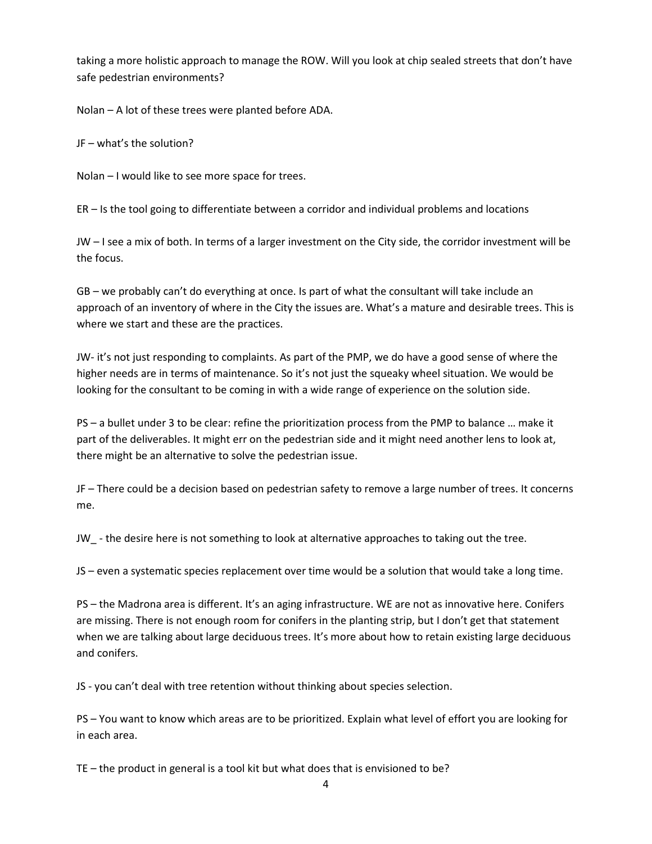taking a more holistic approach to manage the ROW. Will you look at chip sealed streets that don't have safe pedestrian environments?

Nolan – A lot of these trees were planted before ADA.

JF – what's the solution?

Nolan – I would like to see more space for trees.

ER – Is the tool going to differentiate between a corridor and individual problems and locations

JW – I see a mix of both. In terms of a larger investment on the City side, the corridor investment will be the focus.

GB – we probably can't do everything at once. Is part of what the consultant will take include an approach of an inventory of where in the City the issues are. What's a mature and desirable trees. This is where we start and these are the practices.

JW- it's not just responding to complaints. As part of the PMP, we do have a good sense of where the higher needs are in terms of maintenance. So it's not just the squeaky wheel situation. We would be looking for the consultant to be coming in with a wide range of experience on the solution side.

PS – a bullet under 3 to be clear: refine the prioritization process from the PMP to balance … make it part of the deliverables. It might err on the pedestrian side and it might need another lens to look at, there might be an alternative to solve the pedestrian issue.

JF – There could be a decision based on pedestrian safety to remove a large number of trees. It concerns me.

JW\_ - the desire here is not something to look at alternative approaches to taking out the tree.

JS – even a systematic species replacement over time would be a solution that would take a long time.

PS – the Madrona area is different. It's an aging infrastructure. WE are not as innovative here. Conifers are missing. There is not enough room for conifers in the planting strip, but I don't get that statement when we are talking about large deciduous trees. It's more about how to retain existing large deciduous and conifers.

JS - you can't deal with tree retention without thinking about species selection.

PS – You want to know which areas are to be prioritized. Explain what level of effort you are looking for in each area.

TE – the product in general is a tool kit but what does that is envisioned to be?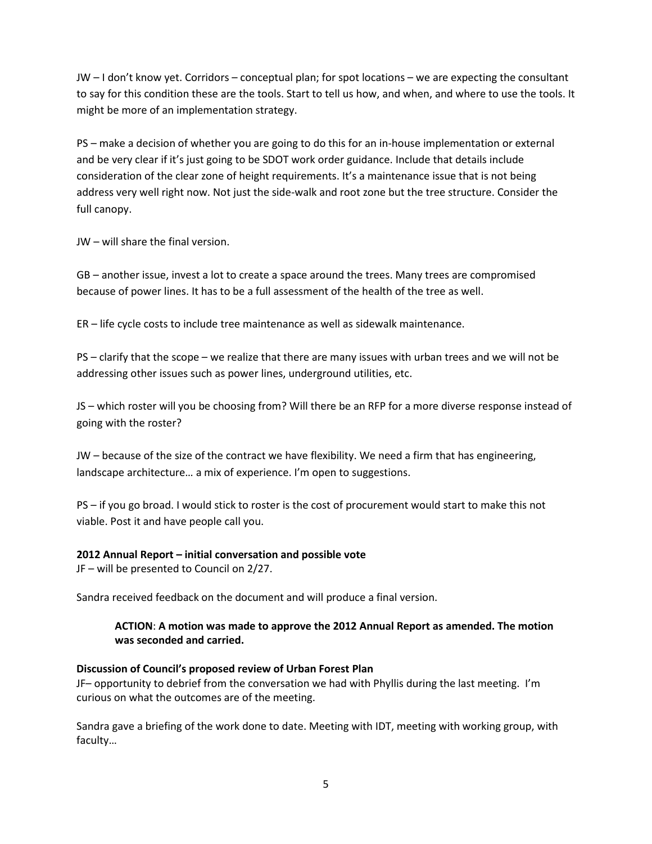JW – I don't know yet. Corridors – conceptual plan; for spot locations – we are expecting the consultant to say for this condition these are the tools. Start to tell us how, and when, and where to use the tools. It might be more of an implementation strategy.

PS – make a decision of whether you are going to do this for an in-house implementation or external and be very clear if it's just going to be SDOT work order guidance. Include that details include consideration of the clear zone of height requirements. It's a maintenance issue that is not being address very well right now. Not just the side-walk and root zone but the tree structure. Consider the full canopy.

JW – will share the final version.

GB – another issue, invest a lot to create a space around the trees. Many trees are compromised because of power lines. It has to be a full assessment of the health of the tree as well.

ER – life cycle costs to include tree maintenance as well as sidewalk maintenance.

PS – clarify that the scope – we realize that there are many issues with urban trees and we will not be addressing other issues such as power lines, underground utilities, etc.

JS – which roster will you be choosing from? Will there be an RFP for a more diverse response instead of going with the roster?

JW – because of the size of the contract we have flexibility. We need a firm that has engineering, landscape architecture… a mix of experience. I'm open to suggestions.

PS – if you go broad. I would stick to roster is the cost of procurement would start to make this not viable. Post it and have people call you.

## **2012 Annual Report – initial conversation and possible vote**

JF – will be presented to Council on 2/27.

Sandra received feedback on the document and will produce a final version.

# **ACTION**: **A motion was made to approve the 2012 Annual Report as amended. The motion was seconded and carried.**

## **Discussion of Council's proposed review of Urban Forest Plan**

JF– opportunity to debrief from the conversation we had with Phyllis during the last meeting. I'm curious on what the outcomes are of the meeting.

Sandra gave a briefing of the work done to date. Meeting with IDT, meeting with working group, with faculty…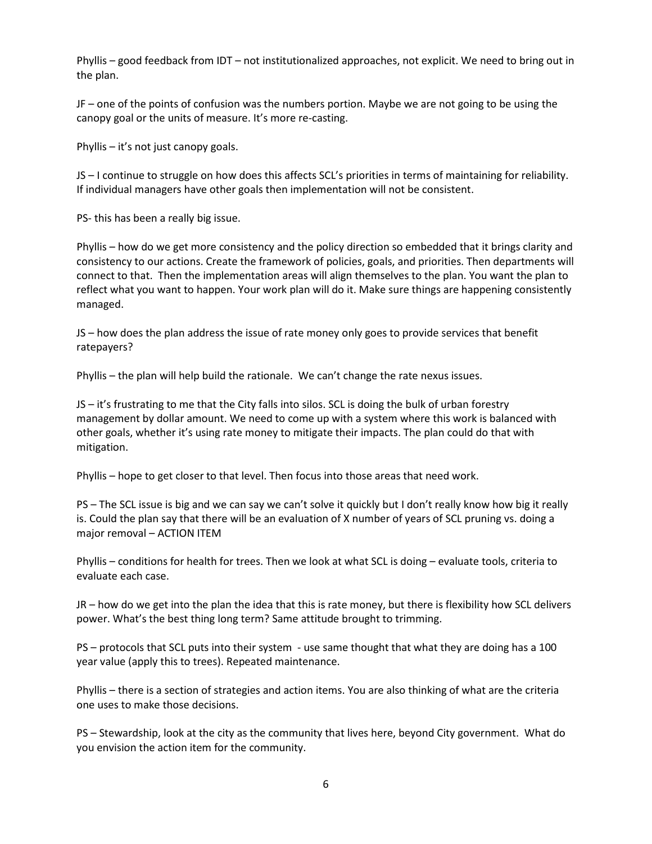Phyllis – good feedback from IDT – not institutionalized approaches, not explicit. We need to bring out in the plan.

JF – one of the points of confusion was the numbers portion. Maybe we are not going to be using the canopy goal or the units of measure. It's more re-casting.

Phyllis – it's not just canopy goals.

JS – I continue to struggle on how does this affects SCL's priorities in terms of maintaining for reliability. If individual managers have other goals then implementation will not be consistent.

PS- this has been a really big issue.

Phyllis – how do we get more consistency and the policy direction so embedded that it brings clarity and consistency to our actions. Create the framework of policies, goals, and priorities. Then departments will connect to that. Then the implementation areas will align themselves to the plan. You want the plan to reflect what you want to happen. Your work plan will do it. Make sure things are happening consistently managed.

JS – how does the plan address the issue of rate money only goes to provide services that benefit ratepayers?

Phyllis – the plan will help build the rationale. We can't change the rate nexus issues.

JS – it's frustrating to me that the City falls into silos. SCL is doing the bulk of urban forestry management by dollar amount. We need to come up with a system where this work is balanced with other goals, whether it's using rate money to mitigate their impacts. The plan could do that with mitigation.

Phyllis – hope to get closer to that level. Then focus into those areas that need work.

PS – The SCL issue is big and we can say we can't solve it quickly but I don't really know how big it really is. Could the plan say that there will be an evaluation of X number of years of SCL pruning vs. doing a major removal – ACTION ITEM

Phyllis – conditions for health for trees. Then we look at what SCL is doing – evaluate tools, criteria to evaluate each case.

JR – how do we get into the plan the idea that this is rate money, but there is flexibility how SCL delivers power. What's the best thing long term? Same attitude brought to trimming.

PS – protocols that SCL puts into their system - use same thought that what they are doing has a 100 year value (apply this to trees). Repeated maintenance.

Phyllis – there is a section of strategies and action items. You are also thinking of what are the criteria one uses to make those decisions.

PS – Stewardship, look at the city as the community that lives here, beyond City government. What do you envision the action item for the community.